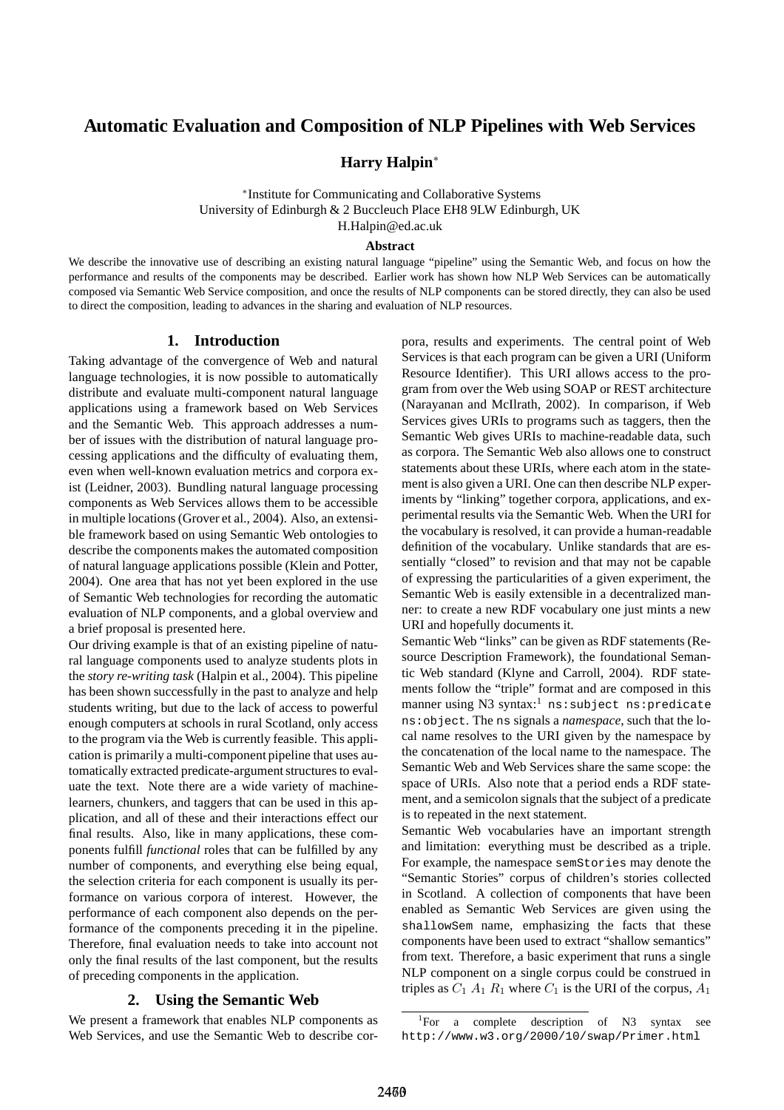# **Automatic Evaluation and Composition of NLP Pipelines with Web Services**

# **Harry Halpin**<sup>∗</sup>

∗ Institute for Communicating and Collaborative Systems University of Edinburgh & 2 Buccleuch Place EH8 9LW Edinburgh, UK H.Halpin@ed.ac.uk

#### **Abstract**

We describe the innovative use of describing an existing natural language "pipeline" using the Semantic Web, and focus on how the performance and results of the components may be described. Earlier work has shown how NLP Web Services can be automatically composed via Semantic Web Service composition, and once the results of NLP components can be stored directly, they can also be used to direct the composition, leading to advances in the sharing and evaluation of NLP resources.

## **1. Introduction**

Taking advantage of the convergence of Web and natural language technologies, it is now possible to automatically distribute and evaluate multi-component natural language applications using a framework based on Web Services and the Semantic Web. This approach addresses a number of issues with the distribution of natural language processing applications and the difficulty of evaluating them, even when well-known evaluation metrics and corpora exist (Leidner, 2003). Bundling natural language processing components as Web Services allows them to be accessible in multiple locations (Grover et al., 2004). Also, an extensible framework based on using Semantic Web ontologies to describe the components makes the automated composition of natural language applications possible (Klein and Potter, 2004). One area that has not yet been explored in the use of Semantic Web technologies for recording the automatic evaluation of NLP components, and a global overview and a brief proposal is presented here.

Our driving example is that of an existing pipeline of natural language components used to analyze students plots in the *story re-writing task* (Halpin et al., 2004). This pipeline has been shown successfully in the past to analyze and help students writing, but due to the lack of access to powerful enough computers at schools in rural Scotland, only access to the program via the Web is currently feasible. This application is primarily a multi-component pipeline that uses automatically extracted predicate-argument structures to evaluate the text. Note there are a wide variety of machinelearners, chunkers, and taggers that can be used in this application, and all of these and their interactions effect our final results. Also, like in many applications, these components fulfill *functional* roles that can be fulfilled by any number of components, and everything else being equal, the selection criteria for each component is usually its performance on various corpora of interest. However, the performance of each component also depends on the performance of the components preceding it in the pipeline. Therefore, final evaluation needs to take into account not only the final results of the last component, but the results of preceding components in the application.

#### **2. Using the Semantic Web**

We present a framework that enables NLP components as Web Services, and use the Semantic Web to describe corpora, results and experiments. The central point of Web Services is that each program can be given a URI (Uniform Resource Identifier). This URI allows access to the program from over the Web using SOAP or REST architecture (Narayanan and McIlrath, 2002). In comparison, if Web Services gives URIs to programs such as taggers, then the Semantic Web gives URIs to machine-readable data, such as corpora. The Semantic Web also allows one to construct statements about these URIs, where each atom in the statement is also given a URI. One can then describe NLP experiments by "linking" together corpora, applications, and experimental results via the Semantic Web. When the URI for the vocabulary is resolved, it can provide a human-readable definition of the vocabulary. Unlike standards that are essentially "closed" to revision and that may not be capable of expressing the particularities of a given experiment, the Semantic Web is easily extensible in a decentralized manner: to create a new RDF vocabulary one just mints a new URI and hopefully documents it.

Semantic Web "links" can be given as RDF statements (Resource Description Framework), the foundational Semantic Web standard (Klyne and Carroll, 2004). RDF statements follow the "triple" format and are composed in this manner using N3 syntax:<sup>1</sup> ns:subject ns: predicate ns:object. The ns signals a *namespace*, such that the local name resolves to the URI given by the namespace by the concatenation of the local name to the namespace. The Semantic Web and Web Services share the same scope: the space of URIs. Also note that a period ends a RDF statement, and a semicolon signals that the subject of a predicate is to repeated in the next statement.

Semantic Web vocabularies have an important strength and limitation: everything must be described as a triple. For example, the namespace semStories may denote the "Semantic Stories" corpus of children's stories collected in Scotland. A collection of components that have been enabled as Semantic Web Services are given using the shallowSem name, emphasizing the facts that these components have been used to extract "shallow semantics" from text. Therefore, a basic experiment that runs a single NLP component on a single corpus could be construed in triples as  $C_1$   $A_1$   $R_1$  where  $C_1$  is the URI of the corpus,  $A_1$ 

<sup>&</sup>lt;sup>1</sup>For a complete description of N3 syntax see http://www.w3.org/2000/10/swap/Primer.html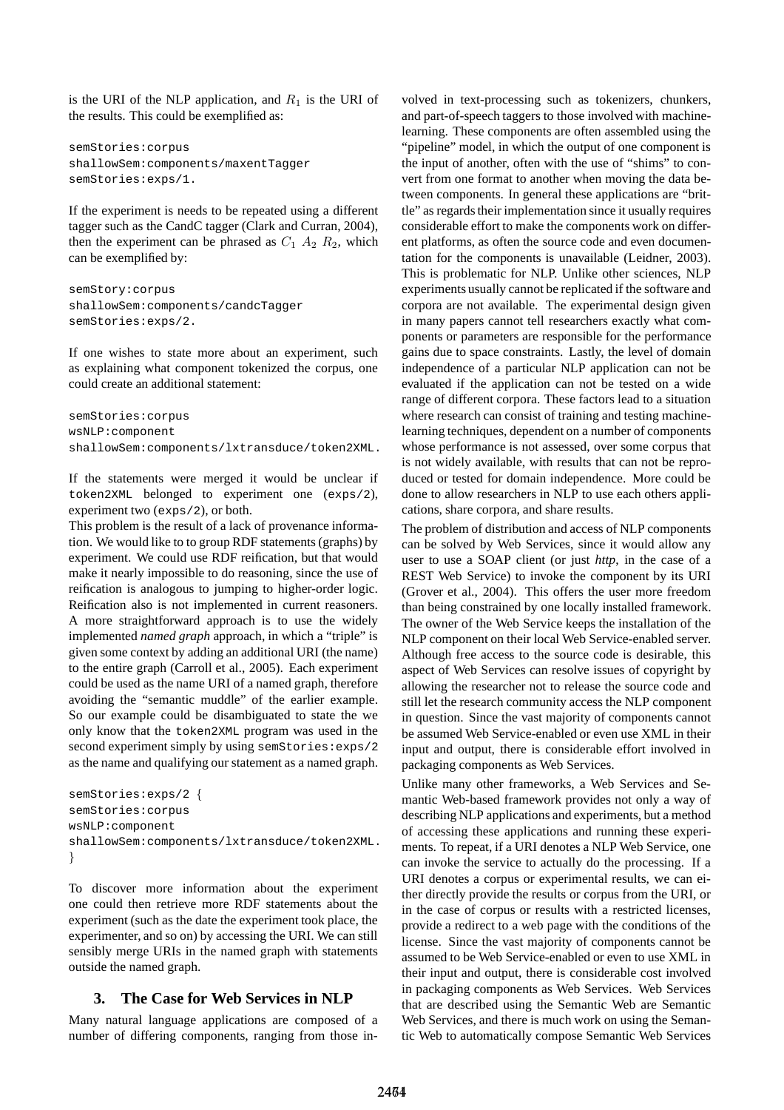is the URI of the NLP application, and  $R_1$  is the URI of the results. This could be exemplified as:

semStories:corpus shallowSem:components/maxentTagger semStories:exps/1.

If the experiment is needs to be repeated using a different tagger such as the CandC tagger (Clark and Curran, 2004), then the experiment can be phrased as  $C_1$   $A_2$   $R_2$ , which can be exemplified by:

semStory:corpus shallowSem:components/candcTagger semStories:exps/2.

If one wishes to state more about an experiment, such as explaining what component tokenized the corpus, one could create an additional statement:

semStories:corpus wsNLP:component shallowSem:components/lxtransduce/token2XML.

If the statements were merged it would be unclear if token2XML belonged to experiment one (exps/2), experiment two (exps/2), or both.

This problem is the result of a lack of provenance information. We would like to to group RDF statements (graphs) by experiment. We could use RDF reification, but that would make it nearly impossible to do reasoning, since the use of reification is analogous to jumping to higher-order logic. Reification also is not implemented in current reasoners. A more straightforward approach is to use the widely implemented *named graph* approach, in which a "triple" is given some context by adding an additional URI (the name) to the entire graph (Carroll et al., 2005). Each experiment could be used as the name URI of a named graph, therefore avoiding the "semantic muddle" of the earlier example. So our example could be disambiguated to state the we only know that the token2XML program was used in the second experiment simply by using semStories:exps/2 as the name and qualifying our statement as a named graph.

```
semStories:exps/2 {
semStories:corpus
wsNLP:component
shallowSem:components/lxtransduce/token2XML.
}
```
To discover more information about the experiment one could then retrieve more RDF statements about the experiment (such as the date the experiment took place, the experimenter, and so on) by accessing the URI. We can still sensibly merge URIs in the named graph with statements outside the named graph.

# **3. The Case for Web Services in NLP**

Many natural language applications are composed of a number of differing components, ranging from those in-

volved in text-processing such as tokenizers, chunkers, and part-of-speech taggers to those involved with machinelearning. These components are often assembled using the "pipeline" model, in which the output of one component is the input of another, often with the use of "shims" to convert from one format to another when moving the data between components. In general these applications are "brittle" as regards their implementation since it usually requires considerable effort to make the components work on different platforms, as often the source code and even documentation for the components is unavailable (Leidner, 2003). This is problematic for NLP. Unlike other sciences, NLP experiments usually cannot be replicated if the software and corpora are not available. The experimental design given in many papers cannot tell researchers exactly what components or parameters are responsible for the performance gains due to space constraints. Lastly, the level of domain independence of a particular NLP application can not be evaluated if the application can not be tested on a wide range of different corpora. These factors lead to a situation where research can consist of training and testing machinelearning techniques, dependent on a number of components whose performance is not assessed, over some corpus that is not widely available, with results that can not be reproduced or tested for domain independence. More could be done to allow researchers in NLP to use each others applications, share corpora, and share results.

The problem of distribution and access of NLP components can be solved by Web Services, since it would allow any user to use a SOAP client (or just *http*, in the case of a REST Web Service) to invoke the component by its URI (Grover et al., 2004). This offers the user more freedom than being constrained by one locally installed framework. The owner of the Web Service keeps the installation of the NLP component on their local Web Service-enabled server. Although free access to the source code is desirable, this aspect of Web Services can resolve issues of copyright by allowing the researcher not to release the source code and still let the research community access the NLP component in question. Since the vast majority of components cannot be assumed Web Service-enabled or even use XML in their input and output, there is considerable effort involved in packaging components as Web Services.

Unlike many other frameworks, a Web Services and Semantic Web-based framework provides not only a way of describing NLP applications and experiments, but a method of accessing these applications and running these experiments. To repeat, if a URI denotes a NLP Web Service, one can invoke the service to actually do the processing. If a URI denotes a corpus or experimental results, we can either directly provide the results or corpus from the URI, or in the case of corpus or results with a restricted licenses, provide a redirect to a web page with the conditions of the license. Since the vast majority of components cannot be assumed to be Web Service-enabled or even to use XML in their input and output, there is considerable cost involved in packaging components as Web Services. Web Services that are described using the Semantic Web are Semantic Web Services, and there is much work on using the Semantic Web to automatically compose Semantic Web Services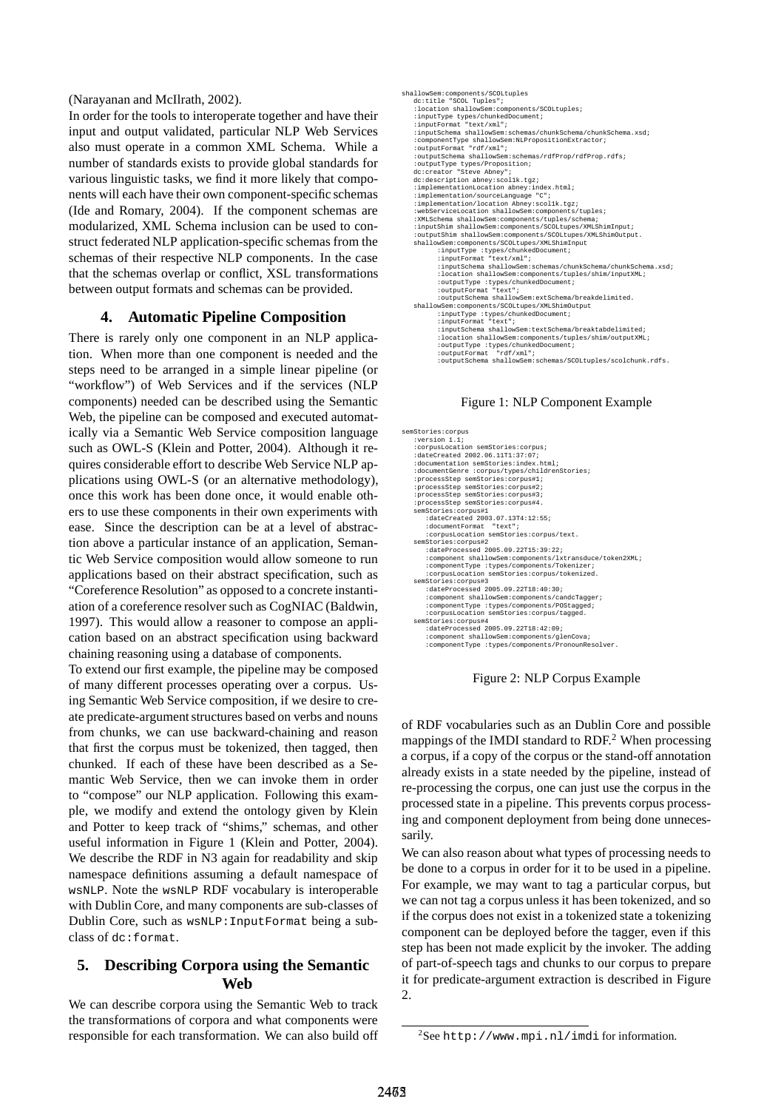(Narayanan and McIlrath, 2002).

In order for the tools to interoperate together and have their input and output validated, particular NLP Web Services also must operate in a common XML Schema. While a number of standards exists to provide global standards for various linguistic tasks, we find it more likely that components will each have their own component-specific schemas (Ide and Romary, 2004). If the component schemas are modularized, XML Schema inclusion can be used to construct federated NLP application-specific schemas from the schemas of their respective NLP components. In the case that the schemas overlap or conflict, XSL transformations between output formats and schemas can be provided.

#### **4. Automatic Pipeline Composition**

There is rarely only one component in an NLP application. When more than one component is needed and the steps need to be arranged in a simple linear pipeline (or "workflow") of Web Services and if the services (NLP components) needed can be described using the Semantic Web, the pipeline can be composed and executed automatically via a Semantic Web Service composition language such as OWL-S (Klein and Potter, 2004). Although it requires considerable effort to describe Web Service NLP applications using OWL-S (or an alternative methodology), once this work has been done once, it would enable others to use these components in their own experiments with ease. Since the description can be at a level of abstraction above a particular instance of an application, Semantic Web Service composition would allow someone to run applications based on their abstract specification, such as "Coreference Resolution" as opposed to a concrete instantiation of a coreference resolver such as CogNIAC (Baldwin, 1997). This would allow a reasoner to compose an application based on an abstract specification using backward chaining reasoning using a database of components.

To extend our first example, the pipeline may be composed of many different processes operating over a corpus. Using Semantic Web Service composition, if we desire to create predicate-argument structures based on verbs and nouns from chunks, we can use backward-chaining and reason that first the corpus must be tokenized, then tagged, then chunked. If each of these have been described as a Semantic Web Service, then we can invoke them in order to "compose" our NLP application. Following this example, we modify and extend the ontology given by Klein and Potter to keep track of "shims," schemas, and other useful information in Figure 1 (Klein and Potter, 2004). We describe the RDF in N3 again for readability and skip namespace definitions assuming a default namespace of wsNLP. Note the wsNLP RDF vocabulary is interoperable with Dublin Core, and many components are sub-classes of Dublin Core, such as wsNLP:InputFormat being a subclass of dc:format.

# **5. Describing Corpora using the Semantic Web**

We can describe corpora using the Semantic Web to track the transformations of corpora and what components were responsible for each transformation. We can also build off

| shallowSem:components/SCOLtuples                             |  |
|--------------------------------------------------------------|--|
| dc:title "SCOL Tuples";                                      |  |
| :location shallowSem:components/SCOLtuples;                  |  |
| : inputType types/chunkedDocument;                           |  |
| :inputFormat "text/xml";                                     |  |
| :inputSchema shallowSem:schemas/chunkSchema/chunkSchema.xsd; |  |
| :componentType shallowSem:NLPropositionExtractor;            |  |
| :outputFormat "rdf/xml";                                     |  |
| :outputSchema shallowSem:schemas/rdfProp/rdfProp.rdfs;       |  |
| :outputType types/Proposition;                               |  |
| dc: creator "Steve Abnev";                                   |  |
| dc:description abnev:scollk.tgz;                             |  |
| :implementationLocation abney:index.html;                    |  |
| : implementation/sourceLanguage "C";                         |  |
| :implementation/location Abney:scollk.tqz;                   |  |
| :webServiceLocation shallowSem:components/tuples;            |  |
| : XMLSchema shallowSem: components/tuples/schema;            |  |
| :inputShim shallowSem:components/SCOLtupes/XMLShimInput;     |  |
| :outputShim shallowSem:components/SCOLtupes/XMLShimOutput.   |  |
| shallowSem: components/SCOLtupes/XMLShimInput                |  |
| :inputType :types/chunkedDocument;                           |  |
| :inputFormat "text/xml";                                     |  |
| :inputSchema shallowSem:schemas/chunkSchema/chunkSchema.xsd; |  |
| :location shallowSem:components/tuples/shim/inputXML;        |  |
| :outputType :types/chunkedDocument;                          |  |
| :outputFormat "text";                                        |  |
| :outputSchema shallowSem:extSchema/breakdelimited.           |  |
| shallowSem: components/SCOLtupes/XMLShimOutput               |  |
| :inputType :types/chunkedDocument;                           |  |
| :inputFormat "text";                                         |  |
| :inputSchema shallowSem:textSchema/breaktabdelimited;        |  |
| :location shallowSem:components/tuples/shim/outputXML;       |  |
| :outputType :types/chunkedDocument;                          |  |
| :outputFormat "rdf/xml";                                     |  |
| :outputSchema_shallowSem:schemas/SCOLtuples/scolchunk.rdfs.  |  |

Figure 1: NLP Component Example

| semStories:corpus                                       |
|---------------------------------------------------------|
| :version 1.1;                                           |
| :corpusLocation semStories:corpus;                      |
| :dateCreated 2002.06.11T1:37:07;                        |
| :documentation semStories:index.html;                   |
| :documentGenre :corpus/types/childrenStories;           |
| :processStep semStories:corpus#1;                       |
| :processStep semStories:corpus#2;                       |
| :processStep semStories:corpus#3;                       |
| :processStep semStories:corpus#4.                       |
| semStories:corpus#1                                     |
| :dateCreated 2003.07.13T4:12:55;                        |
| :documentFormat "text";                                 |
| : corpusLocation semStories: corpus/text.               |
| semStories:corpus#2                                     |
| :dateProcessed 2005.09.22T15:39:22;                     |
| :component shallowSem:components/lxtransduce/token2XML; |
| :componentType :types/components/Tokenizer;             |
| :corpusLocation semStories:corpus/tokenized.            |
| semStories:corpus#3                                     |
| :dateProcessed 2005.09.22T18:40:30;                     |
| :component shallowSem:components/candcTagger;           |
| :componentType :types/components/POStaqqed;             |
| :corpusLocation semStories:corpus/tagged.               |
| semStories:corpus#4                                     |
| :dateProcessed 2005.09.22T18:42:09;                     |
| :component shallowSem:components/qlenCova;              |
| :componentType :types/components/PronounResolver.       |

Figure 2: NLP Corpus Example

of RDF vocabularies such as an Dublin Core and possible mappings of the IMDI standard to RDF. <sup>2</sup> When processing a corpus, if a copy of the corpus or the stand-off annotation already exists in a state needed by the pipeline, instead of re-processing the corpus, one can just use the corpus in the processed state in a pipeline. This prevents corpus processing and component deployment from being done unnecessarily.

We can also reason about what types of processing needs to be done to a corpus in order for it to be used in a pipeline. For example, we may want to tag a particular corpus, but we can not tag a corpus unless it has been tokenized, and so if the corpus does not exist in a tokenized state a tokenizing component can be deployed before the tagger, even if this step has been not made explicit by the invoker. The adding of part-of-speech tags and chunks to our corpus to prepare it for predicate-argument extraction is described in Figure 2.

 $2$ See http://www.mpi.nl/imdi for information.